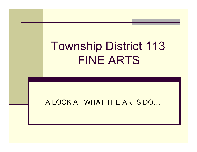# Township District 113FINE ARTS

#### A LOOK AT WHAT THE ARTS DO…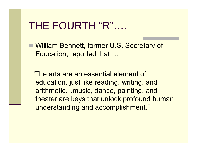## THE FOURTH "R"….

■ William Bennett, former U.S. Secretary of Education, reported that …

"The arts are an essential element of education, just like reading, writing, and arithmetic…music, dance, painting, and theater are keys that unlock profound human understanding and accomplishment."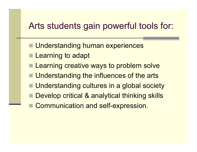#### Arts students gain powerful tools for:

- Understanding human experiences
- Learning to adapt
- Learning creative ways to problem solve
- Understanding the influences of the arts
- Understanding cultures in a global society
- þ. Develop critical & analytical thinking skills
- Communication and self-expression.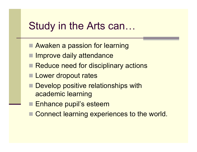#### Study in the Arts can…

- Awaken a passion for learning
- **Improve daily attendance**
- Reduce need for disciplinary actions
- **Lower dropout rates**
- Develop positive relationships with academic learning
- Enhance pupil's esteem
- Connect learning experiences to the world.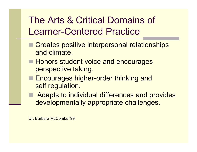# The Arts & Critical Domains of Learner-Centered Practice

- Creates positive interpersonal relationships and climate.
- **Honors student voice and encourages** perspective taking.
- Encourages higher-order thinking and self regulation.
- Adapts to individual differences and provides developmentally appropriate challenges.

Dr. Barbara McCombs '99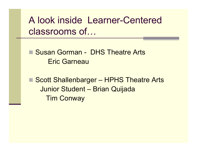A look inside Learner-Centered classrooms of…

■ Susan Gorman - DHS Theatre Arts Eric Garneau

■ Scott Shallenbarger – HPHS Theatre Arts Junior Student – Brian Quijada Tim Conway